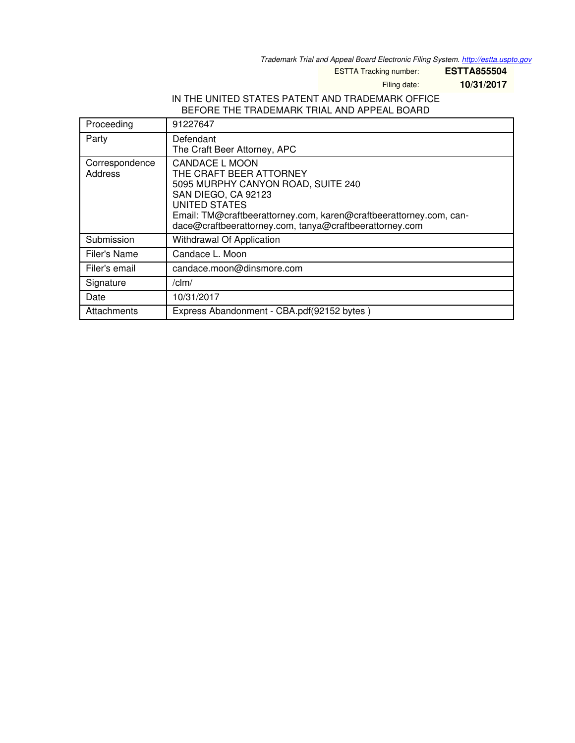*Trademark Trial and Appeal Board Electronic Filing System. <http://estta.uspto.gov>*

ESTTA Tracking number: **ESTTA855504**

Filing date: **10/31/2017**

#### IN THE UNITED STATES PATENT AND TRADEMARK OFFICE BEFORE THE TRADEMARK TRIAL AND APPEAL BOARD

| Proceeding                | 91227647                                                                                                                                                                                                                                                               |
|---------------------------|------------------------------------------------------------------------------------------------------------------------------------------------------------------------------------------------------------------------------------------------------------------------|
| Party                     | Defendant<br>The Craft Beer Attorney, APC                                                                                                                                                                                                                              |
| Correspondence<br>Address | <b>CANDACE L MOON</b><br>THE CRAFT BEER ATTORNEY<br>5095 MURPHY CANYON ROAD, SUITE 240<br>SAN DIEGO, CA 92123<br><b>UNITED STATES</b><br>Email: TM@craftbeerattorney.com, karen@craftbeerattorney.com, can-<br>dace@craftbeerattorney.com, tanya@craftbeerattorney.com |
| Submission                | Withdrawal Of Application                                                                                                                                                                                                                                              |
| Filer's Name              | Candace L. Moon                                                                                                                                                                                                                                                        |
| Filer's email             | candace.moon@dinsmore.com                                                                                                                                                                                                                                              |
| Signature                 | /clm/                                                                                                                                                                                                                                                                  |
| Date                      | 10/31/2017                                                                                                                                                                                                                                                             |
| Attachments               | Express Abandonment - CBA.pdf(92152 bytes)                                                                                                                                                                                                                             |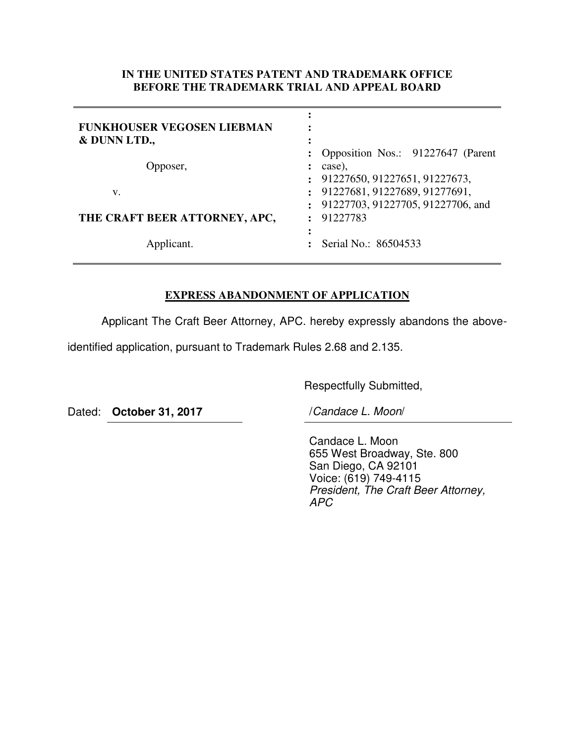### **IN THE UNITED STATES PATENT AND TRADEMARK OFFICE BEFORE THE TRADEMARK TRIAL AND APPEAL BOARD**

| FUNKHOUSER VEGOSEN LIEBMAN<br>& DUNN LTD., |                                                                                  |
|--------------------------------------------|----------------------------------------------------------------------------------|
| Opposer,                                   | : Opposition Nos.: 91227647 (Parent<br>case),<br>: 91227650, 91227651, 91227673, |
| V.                                         | : 91227681, 91227689, 91277691,<br>: 91227703, 91227705, 91227706, and           |
| THE CRAFT BEER ATTORNEY, APC,              | 91227783                                                                         |
| Applicant.                                 | Serial No.: 86504533                                                             |

#### **EXPRESS ABANDONMENT OF APPLICATION**

Applicant The Craft Beer Attorney, APC. hereby expressly abandons the above-

identified application, pursuant to Trademark Rules 2.68 and 2.135.

Respectfully Submitted,

Dated: **October 31, 2017** /*Candace L. Moon*/

Candace L. Moon 655 West Broadway, Ste. 800 San Diego, CA 92101 Voice: (619) 749-4115 *President, The Craft Beer Attorney, APC*